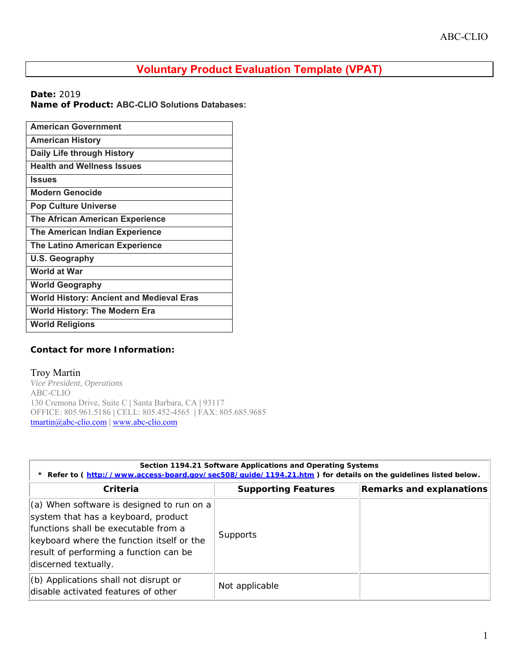## **Voluntary Product Evaluation Template (VPAT)**

**Date:** 2019

**Name of Product: ABC-CLIO Solutions Databases:** 

| <b>American Government</b>                      |
|-------------------------------------------------|
| <b>American History</b>                         |
| Daily Life through History                      |
| <b>Health and Wellness Issues</b>               |
| <b>Issues</b>                                   |
| <b>Modern Genocide</b>                          |
| <b>Pop Culture Universe</b>                     |
| <b>The African American Experience</b>          |
| The American Indian Experience                  |
| <b>The Latino American Experience</b>           |
| <b>U.S. Geography</b>                           |
| World at War                                    |
| <b>World Geography</b>                          |
| <b>World History: Ancient and Medieval Eras</b> |
| <b>World History: The Modern Era</b>            |
| <b>World Religions</b>                          |

## **Contact for more Information:**

## Troy Martin

*Vice President, Operations* ABC-CLIO 130 Cremona Drive, Suite C **|** Santa Barbara, CA **|** 93117 OFFICE: 805.961.5186 **|** CELL: 805.452-4565 **|** FAX: 805.685.9685 tmartin@abc-clio.com **|** www.abc-clio.com

| Section 1194.21 Software Applications and Operating Systems<br>* Refer to (http://www.access-board.gov/sec508/guide/1194.21.htm) for details on the guidelines listed below.                                                            |                            |                          |
|-----------------------------------------------------------------------------------------------------------------------------------------------------------------------------------------------------------------------------------------|----------------------------|--------------------------|
| Criteria                                                                                                                                                                                                                                | <b>Supporting Features</b> | Remarks and explanations |
| (a) When software is designed to run on a<br>system that has a keyboard, product<br>functions shall be executable from a<br>keyboard where the function itself or the<br>result of performing a function can be<br>discerned textually. | Supports                   |                          |
| (b) Applications shall not disrupt or<br>disable activated features of other                                                                                                                                                            | Not applicable             |                          |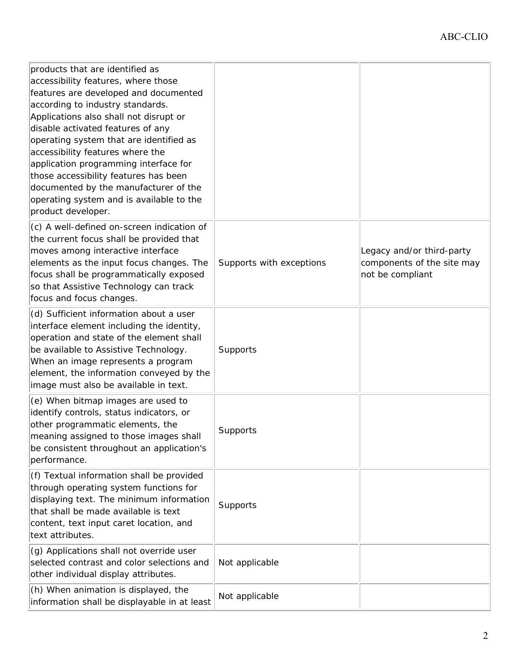| products that are identified as<br>accessibility features, where those<br>features are developed and documented<br>according to industry standards.<br>Applications also shall not disrupt or<br>disable activated features of any<br>operating system that are identified as<br>accessibility features where the<br>application programming interface for<br>those accessibility features has been<br>documented by the manufacturer of the<br>operating system and is available to the<br>product developer. |                          |                                                                             |
|----------------------------------------------------------------------------------------------------------------------------------------------------------------------------------------------------------------------------------------------------------------------------------------------------------------------------------------------------------------------------------------------------------------------------------------------------------------------------------------------------------------|--------------------------|-----------------------------------------------------------------------------|
| (c) A well-defined on-screen indication of<br>the current focus shall be provided that<br>moves among interactive interface<br>elements as the input focus changes. The<br>focus shall be programmatically exposed<br>so that Assistive Technology can track<br>focus and focus changes.                                                                                                                                                                                                                       | Supports with exceptions | Legacy and/or third-party<br>components of the site may<br>not be compliant |
| (d) Sufficient information about a user<br>interface element including the identity,<br>operation and state of the element shall<br>be available to Assistive Technology.<br>When an image represents a program<br>element, the information conveyed by the<br>image must also be available in text.                                                                                                                                                                                                           | Supports                 |                                                                             |
| (e) When bitmap images are used to<br>identify controls, status indicators, or<br>other programmatic elements, the<br>meaning assigned to those images shall<br>be consistent throughout an application's<br>performance.                                                                                                                                                                                                                                                                                      | Supports                 |                                                                             |
| (f) Textual information shall be provided<br>through operating system functions for<br>displaying text. The minimum information<br>that shall be made available is text<br>content, text input caret location, and<br>text attributes.                                                                                                                                                                                                                                                                         | Supports                 |                                                                             |
| (g) Applications shall not override user<br>selected contrast and color selections and<br>other individual display attributes.                                                                                                                                                                                                                                                                                                                                                                                 | Not applicable           |                                                                             |
| (h) When animation is displayed, the<br>information shall be displayable in at least                                                                                                                                                                                                                                                                                                                                                                                                                           | Not applicable           |                                                                             |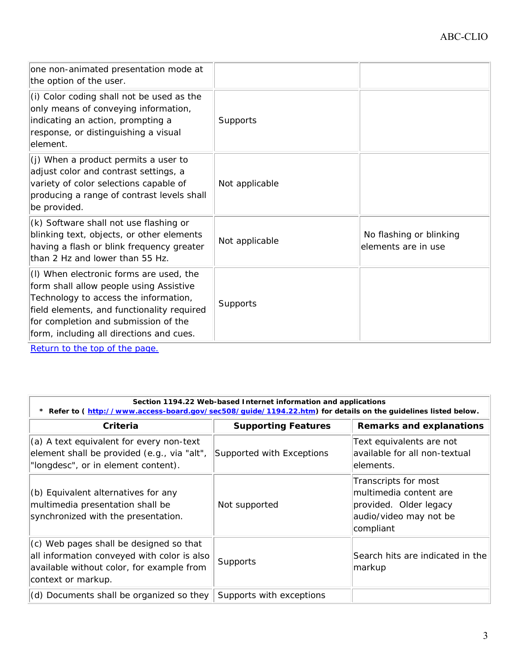| one non-animated presentation mode at<br>the option of the user.                                                                                                                                                                                              |                |                                                |
|---------------------------------------------------------------------------------------------------------------------------------------------------------------------------------------------------------------------------------------------------------------|----------------|------------------------------------------------|
| (i) Color coding shall not be used as the<br>only means of conveying information,<br>indicating an action, prompting a<br>response, or distinguishing a visual<br>element.                                                                                    | Supports       |                                                |
| (j) When a product permits a user to<br>adjust color and contrast settings, a<br>variety of color selections capable of<br>producing a range of contrast levels shall<br>be provided.                                                                         | Not applicable |                                                |
| (k) Software shall not use flashing or<br>blinking text, objects, or other elements<br>having a flash or blink frequency greater<br>than 2 Hz and lower than 55 Hz.                                                                                           | Not applicable | No flashing or blinking<br>elements are in use |
| (I) When electronic forms are used, the<br>form shall allow people using Assistive<br>Technology to access the information,<br>field elements, and functionality required<br>for completion and submission of the<br>form, including all directions and cues. | Supports       |                                                |

Return to the top of the page.

| Section 1194.22 Web-based Internet information and applications<br>* Refer to (http://www.access-board.gov/sec508/guide/1194.22.htm) for details on the guidelines listed below. |                            |                                                                                                                 |
|----------------------------------------------------------------------------------------------------------------------------------------------------------------------------------|----------------------------|-----------------------------------------------------------------------------------------------------------------|
| Criteria                                                                                                                                                                         | <b>Supporting Features</b> | <b>Remarks and explanations</b>                                                                                 |
| (a) A text equivalent for every non-text<br>element shall be provided (e.g., via "alt",<br>"longdesc", or in element content).                                                   | Supported with Exceptions  | Text equivalents are not<br>available for all non-textual<br>lelements.                                         |
| (b) Equivalent alternatives for any<br>multimedia presentation shall be<br>synchronized with the presentation.                                                                   | Not supported              | Transcripts for most<br>multimedia content are<br>provided. Older legacy<br>audio/video may not be<br>compliant |
| (c) Web pages shall be designed so that<br>all information conveyed with color is also<br>available without color, for example from<br>context or markup.                        | Supports                   | Search hits are indicated in the<br> markup                                                                     |
| (d) Documents shall be organized so they                                                                                                                                         | Supports with exceptions   |                                                                                                                 |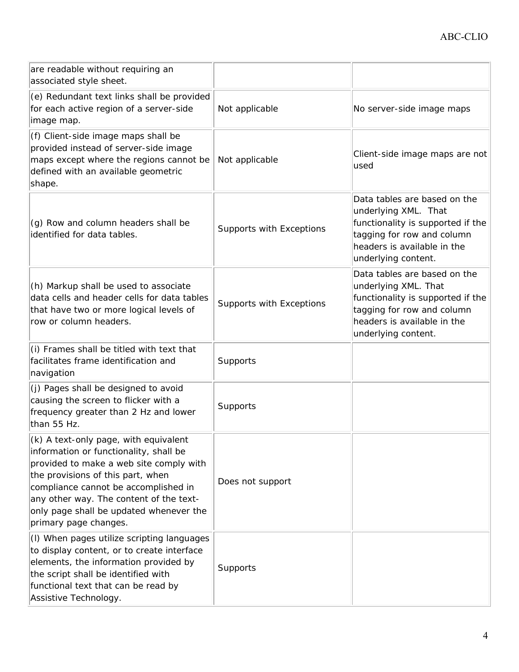| are readable without requiring an<br>associated style sheet.                                                                                                                                                                                                                                                           |                          |                                                                                                                                                                               |
|------------------------------------------------------------------------------------------------------------------------------------------------------------------------------------------------------------------------------------------------------------------------------------------------------------------------|--------------------------|-------------------------------------------------------------------------------------------------------------------------------------------------------------------------------|
| (e) Redundant text links shall be provided<br>for each active region of a server-side<br>image map.                                                                                                                                                                                                                    | Not applicable           | No server-side image maps                                                                                                                                                     |
| (f) Client-side image maps shall be<br>provided instead of server-side image<br>maps except where the regions cannot be<br>defined with an available geometric<br>shape.                                                                                                                                               | Not applicable           | Client-side image maps are not<br>used                                                                                                                                        |
| (g) Row and column headers shall be<br>identified for data tables.                                                                                                                                                                                                                                                     | Supports with Exceptions | Data tables are based on the<br>underlying XML. That<br>functionality is supported if the<br>tagging for row and column<br>headers is available in the<br>underlying content. |
| (h) Markup shall be used to associate<br>data cells and header cells for data tables<br>that have two or more logical levels of<br>row or column headers.                                                                                                                                                              | Supports with Exceptions | Data tables are based on the<br>underlying XML. That<br>functionality is supported if the<br>tagging for row and column<br>headers is available in the<br>underlying content. |
| (i) Frames shall be titled with text that<br>facilitates frame identification and<br>navigation                                                                                                                                                                                                                        | Supports                 |                                                                                                                                                                               |
| (j) Pages shall be designed to avoid<br>causing the screen to flicker with a<br>frequency greater than 2 Hz and lower<br>than 55 Hz.                                                                                                                                                                                   | Supports                 |                                                                                                                                                                               |
| (k) A text-only page, with equivalent<br>information or functionality, shall be<br>provided to make a web site comply with<br>the provisions of this part, when<br>compliance cannot be accomplished in<br>any other way. The content of the text-<br>only page shall be updated whenever the<br>primary page changes. | Does not support         |                                                                                                                                                                               |
| (I) When pages utilize scripting languages<br>to display content, or to create interface<br>elements, the information provided by<br>the script shall be identified with<br>functional text that can be read by<br>Assistive Technology.                                                                               | Supports                 |                                                                                                                                                                               |